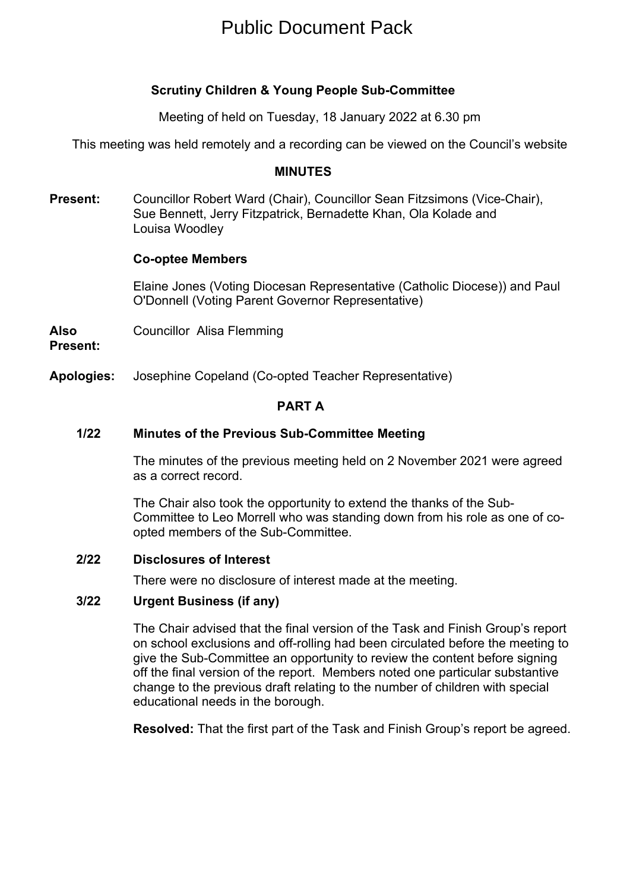# Public Document Pack

# **Scrutiny Children & Young People Sub-Committee**

Meeting of held on Tuesday, 18 January 2022 at 6.30 pm

This meeting was held remotely and a recording can be viewed on the Council's website

## **MINUTES**

**Present:** Councillor Robert Ward (Chair), Councillor Sean Fitzsimons (Vice-Chair), Sue Bennett, Jerry Fitzpatrick, Bernadette Khan, Ola Kolade and Louisa Woodley

## **Co-optee Members**

Elaine Jones (Voting Diocesan Representative (Catholic Diocese)) and Paul O'Donnell (Voting Parent Governor Representative)

**Also** Councillor Alisa Flemming

**Present:**

**Apologies:** Josephine Copeland (Co-opted Teacher Representative)

## **PART A**

# **1/22 Minutes of the Previous Sub-Committee Meeting**

The minutes of the previous meeting held on 2 November 2021 were agreed as a correct record.

The Chair also took the opportunity to extend the thanks of the Sub-Committee to Leo Morrell who was standing down from his role as one of coopted members of the Sub-Committee.

## **2/22 Disclosures of Interest**

There were no disclosure of interest made at the meeting.

## **3/22 Urgent Business (if any)**

The Chair advised that the final version of the Task and Finish Group's report on school exclusions and off-rolling had been circulated before the meeting to give the Sub-Committee an opportunity to review the content before signing off the final version of the report. Members noted one particular substantive change to the previous draft relating to the number of children with special educational needs in the borough.

**Resolved:** That the first part of the Task and Finish Group's report be agreed.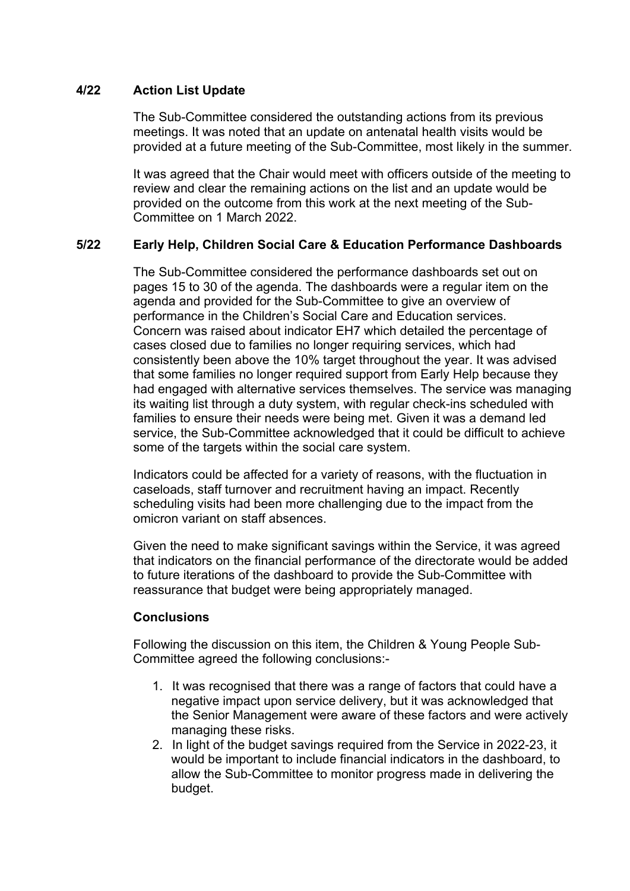# **4/22 Action List Update**

The Sub-Committee considered the outstanding actions from its previous meetings. It was noted that an update on antenatal health visits would be provided at a future meeting of the Sub-Committee, most likely in the summer.

It was agreed that the Chair would meet with officers outside of the meeting to review and clear the remaining actions on the list and an update would be provided on the outcome from this work at the next meeting of the Sub-Committee on 1 March 2022.

# **5/22 Early Help, Children Social Care & Education Performance Dashboards**

The Sub-Committee considered the performance dashboards set out on pages 15 to 30 of the agenda. The dashboards were a regular item on the agenda and provided for the Sub-Committee to give an overview of performance in the Children's Social Care and Education services. Concern was raised about indicator EH7 which detailed the percentage of cases closed due to families no longer requiring services, which had consistently been above the 10% target throughout the year. It was advised that some families no longer required support from Early Help because they had engaged with alternative services themselves. The service was managing its waiting list through a duty system, with regular check-ins scheduled with families to ensure their needs were being met. Given it was a demand led service, the Sub-Committee acknowledged that it could be difficult to achieve some of the targets within the social care system.

Indicators could be affected for a variety of reasons, with the fluctuation in caseloads, staff turnover and recruitment having an impact. Recently scheduling visits had been more challenging due to the impact from the omicron variant on staff absences.

Given the need to make significant savings within the Service, it was agreed that indicators on the financial performance of the directorate would be added to future iterations of the dashboard to provide the Sub-Committee with reassurance that budget were being appropriately managed.

## **Conclusions**

Following the discussion on this item, the Children & Young People Sub-Committee agreed the following conclusions:-

- 1. It was recognised that there was a range of factors that could have a negative impact upon service delivery, but it was acknowledged that the Senior Management were aware of these factors and were actively managing these risks.
- 2. In light of the budget savings required from the Service in 2022-23, it would be important to include financial indicators in the dashboard, to allow the Sub-Committee to monitor progress made in delivering the budget.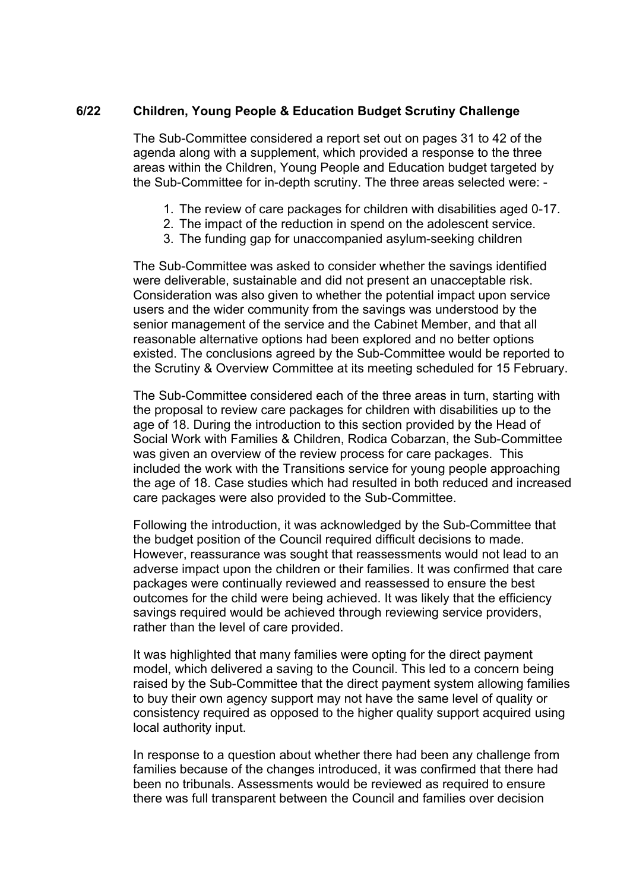## **6/22 Children, Young People & Education Budget Scrutiny Challenge**

The Sub-Committee considered a report set out on pages 31 to 42 of the agenda along with a supplement, which provided a response to the three areas within the Children, Young People and Education budget targeted by the Sub-Committee for in-depth scrutiny. The three areas selected were: -

- 1. The review of care packages for children with disabilities aged 0-17.
- 2. The impact of the reduction in spend on the adolescent service.
- 3. The funding gap for unaccompanied asylum-seeking children

The Sub-Committee was asked to consider whether the savings identified were deliverable, sustainable and did not present an unacceptable risk. Consideration was also given to whether the potential impact upon service users and the wider community from the savings was understood by the senior management of the service and the Cabinet Member, and that all reasonable alternative options had been explored and no better options existed. The conclusions agreed by the Sub-Committee would be reported to the Scrutiny & Overview Committee at its meeting scheduled for 15 February.

The Sub-Committee considered each of the three areas in turn, starting with the proposal to review care packages for children with disabilities up to the age of 18. During the introduction to this section provided by the Head of Social Work with Families & Children, Rodica Cobarzan, the Sub-Committee was given an overview of the review process for care packages. This included the work with the Transitions service for young people approaching the age of 18. Case studies which had resulted in both reduced and increased care packages were also provided to the Sub-Committee.

Following the introduction, it was acknowledged by the Sub-Committee that the budget position of the Council required difficult decisions to made. However, reassurance was sought that reassessments would not lead to an adverse impact upon the children or their families. It was confirmed that care packages were continually reviewed and reassessed to ensure the best outcomes for the child were being achieved. It was likely that the efficiency savings required would be achieved through reviewing service providers, rather than the level of care provided.

It was highlighted that many families were opting for the direct payment model, which delivered a saving to the Council. This led to a concern being raised by the Sub-Committee that the direct payment system allowing families to buy their own agency support may not have the same level of quality or consistency required as opposed to the higher quality support acquired using local authority input.

In response to a question about whether there had been any challenge from families because of the changes introduced, it was confirmed that there had been no tribunals. Assessments would be reviewed as required to ensure there was full transparent between the Council and families over decision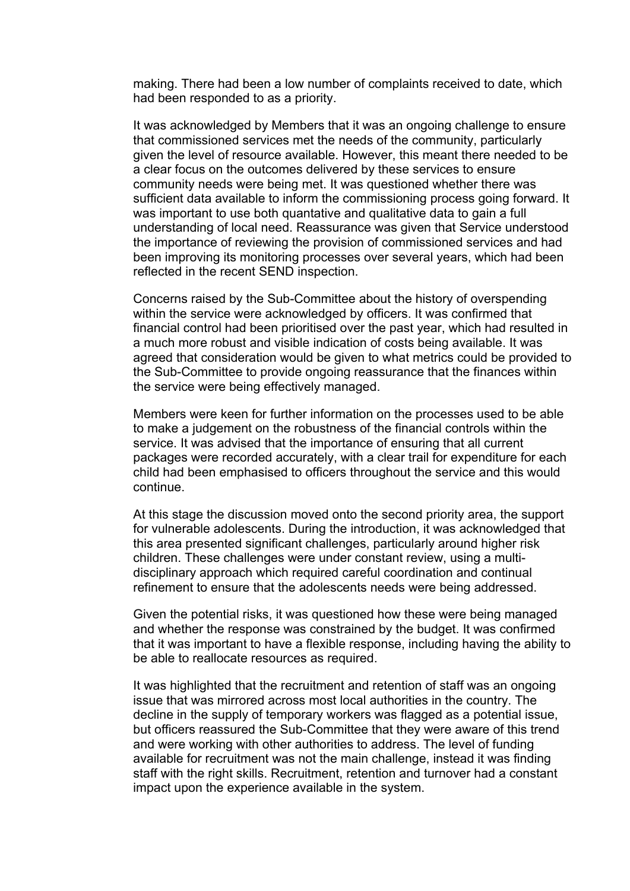making. There had been a low number of complaints received to date, which had been responded to as a priority.

It was acknowledged by Members that it was an ongoing challenge to ensure that commissioned services met the needs of the community, particularly given the level of resource available. However, this meant there needed to be a clear focus on the outcomes delivered by these services to ensure community needs were being met. It was questioned whether there was sufficient data available to inform the commissioning process going forward. It was important to use both quantative and qualitative data to gain a full understanding of local need. Reassurance was given that Service understood the importance of reviewing the provision of commissioned services and had been improving its monitoring processes over several years, which had been reflected in the recent SEND inspection.

Concerns raised by the Sub-Committee about the history of overspending within the service were acknowledged by officers. It was confirmed that financial control had been prioritised over the past year, which had resulted in a much more robust and visible indication of costs being available. It was agreed that consideration would be given to what metrics could be provided to the Sub-Committee to provide ongoing reassurance that the finances within the service were being effectively managed.

Members were keen for further information on the processes used to be able to make a judgement on the robustness of the financial controls within the service. It was advised that the importance of ensuring that all current packages were recorded accurately, with a clear trail for expenditure for each child had been emphasised to officers throughout the service and this would continue.

At this stage the discussion moved onto the second priority area, the support for vulnerable adolescents. During the introduction, it was acknowledged that this area presented significant challenges, particularly around higher risk children. These challenges were under constant review, using a multidisciplinary approach which required careful coordination and continual refinement to ensure that the adolescents needs were being addressed.

Given the potential risks, it was questioned how these were being managed and whether the response was constrained by the budget. It was confirmed that it was important to have a flexible response, including having the ability to be able to reallocate resources as required.

It was highlighted that the recruitment and retention of staff was an ongoing issue that was mirrored across most local authorities in the country. The decline in the supply of temporary workers was flagged as a potential issue, but officers reassured the Sub-Committee that they were aware of this trend and were working with other authorities to address. The level of funding available for recruitment was not the main challenge, instead it was finding staff with the right skills. Recruitment, retention and turnover had a constant impact upon the experience available in the system.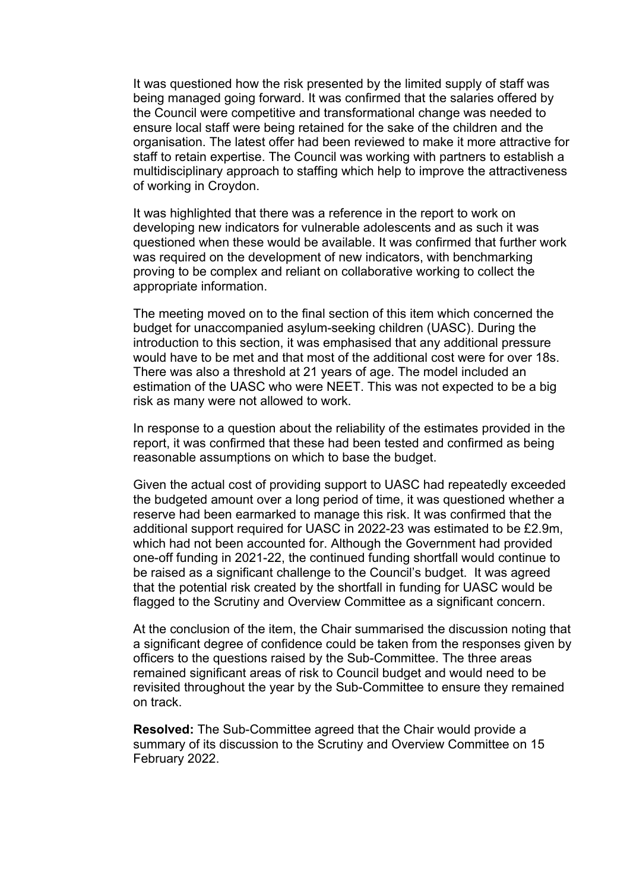It was questioned how the risk presented by the limited supply of staff was being managed going forward. It was confirmed that the salaries offered by the Council were competitive and transformational change was needed to ensure local staff were being retained for the sake of the children and the organisation. The latest offer had been reviewed to make it more attractive for staff to retain expertise. The Council was working with partners to establish a multidisciplinary approach to staffing which help to improve the attractiveness of working in Croydon.

It was highlighted that there was a reference in the report to work on developing new indicators for vulnerable adolescents and as such it was questioned when these would be available. It was confirmed that further work was required on the development of new indicators, with benchmarking proving to be complex and reliant on collaborative working to collect the appropriate information.

The meeting moved on to the final section of this item which concerned the budget for unaccompanied asylum-seeking children (UASC). During the introduction to this section, it was emphasised that any additional pressure would have to be met and that most of the additional cost were for over 18s. There was also a threshold at 21 years of age. The model included an estimation of the UASC who were NEET. This was not expected to be a big risk as many were not allowed to work.

In response to a question about the reliability of the estimates provided in the report, it was confirmed that these had been tested and confirmed as being reasonable assumptions on which to base the budget.

Given the actual cost of providing support to UASC had repeatedly exceeded the budgeted amount over a long period of time, it was questioned whether a reserve had been earmarked to manage this risk. It was confirmed that the additional support required for UASC in 2022-23 was estimated to be £2.9m, which had not been accounted for. Although the Government had provided one-off funding in 2021-22, the continued funding shortfall would continue to be raised as a significant challenge to the Council's budget. It was agreed that the potential risk created by the shortfall in funding for UASC would be flagged to the Scrutiny and Overview Committee as a significant concern.

At the conclusion of the item, the Chair summarised the discussion noting that a significant degree of confidence could be taken from the responses given by officers to the questions raised by the Sub-Committee. The three areas remained significant areas of risk to Council budget and would need to be revisited throughout the year by the Sub-Committee to ensure they remained on track.

**Resolved:** The Sub-Committee agreed that the Chair would provide a summary of its discussion to the Scrutiny and Overview Committee on 15 February 2022.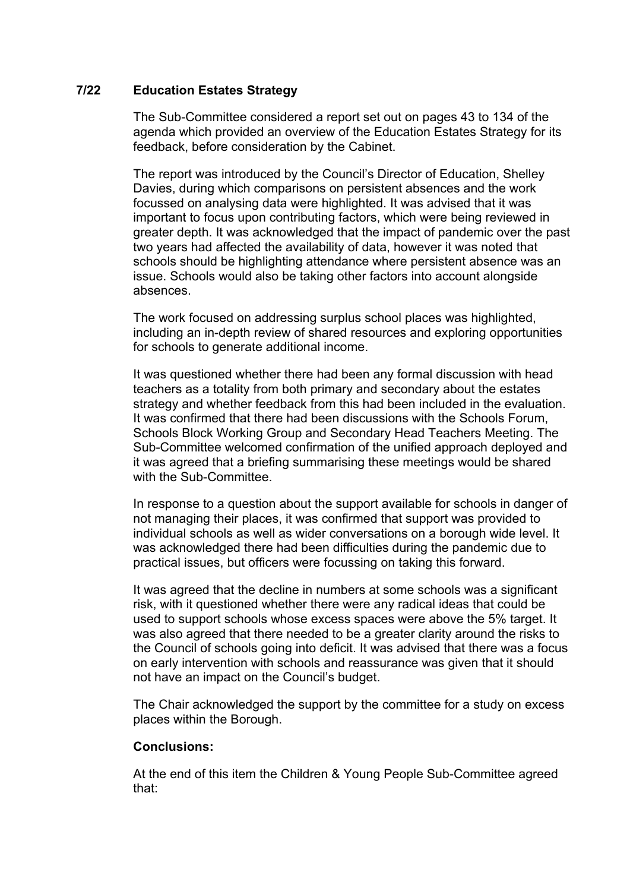# **7/22 Education Estates Strategy**

The Sub-Committee considered a report set out on pages 43 to 134 of the agenda which provided an overview of the Education Estates Strategy for its feedback, before consideration by the Cabinet.

The report was introduced by the Council's Director of Education, Shelley Davies, during which comparisons on persistent absences and the work focussed on analysing data were highlighted. It was advised that it was important to focus upon contributing factors, which were being reviewed in greater depth. It was acknowledged that the impact of pandemic over the past two years had affected the availability of data, however it was noted that schools should be highlighting attendance where persistent absence was an issue. Schools would also be taking other factors into account alongside absences.

The work focused on addressing surplus school places was highlighted, including an in-depth review of shared resources and exploring opportunities for schools to generate additional income.

It was questioned whether there had been any formal discussion with head teachers as a totality from both primary and secondary about the estates strategy and whether feedback from this had been included in the evaluation. It was confirmed that there had been discussions with the Schools Forum, Schools Block Working Group and Secondary Head Teachers Meeting. The Sub-Committee welcomed confirmation of the unified approach deployed and it was agreed that a briefing summarising these meetings would be shared with the Sub-Committee.

In response to a question about the support available for schools in danger of not managing their places, it was confirmed that support was provided to individual schools as well as wider conversations on a borough wide level. It was acknowledged there had been difficulties during the pandemic due to practical issues, but officers were focussing on taking this forward.

It was agreed that the decline in numbers at some schools was a significant risk, with it questioned whether there were any radical ideas that could be used to support schools whose excess spaces were above the 5% target. It was also agreed that there needed to be a greater clarity around the risks to the Council of schools going into deficit. It was advised that there was a focus on early intervention with schools and reassurance was given that it should not have an impact on the Council's budget.

The Chair acknowledged the support by the committee for a study on excess places within the Borough.

## **Conclusions:**

At the end of this item the Children & Young People Sub-Committee agreed that: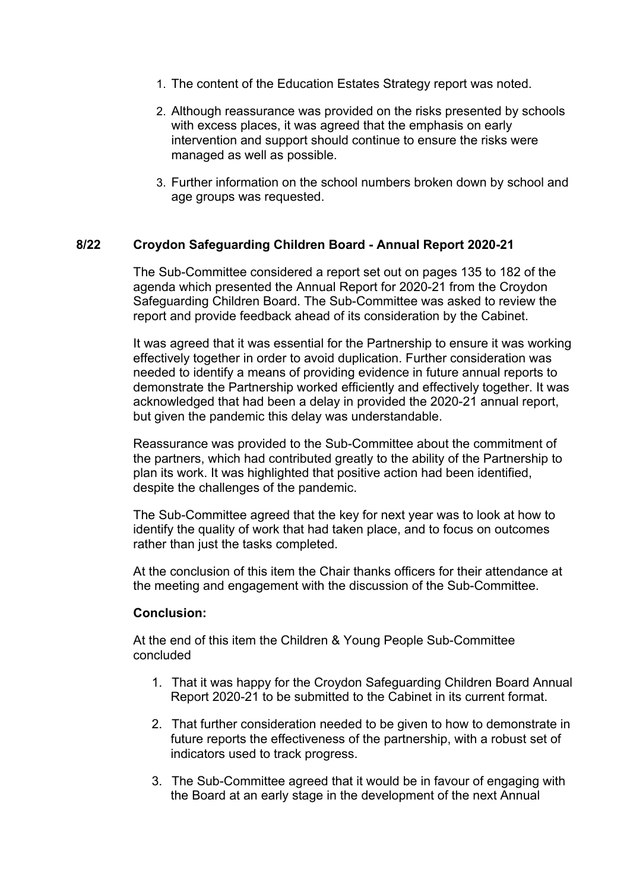- 1. The content of the Education Estates Strategy report was noted.
- 2. Although reassurance was provided on the risks presented by schools with excess places, it was agreed that the emphasis on early intervention and support should continue to ensure the risks were managed as well as possible.
- 3. Further information on the school numbers broken down by school and age groups was requested.

## **8/22 Croydon Safeguarding Children Board - Annual Report 2020-21**

The Sub-Committee considered a report set out on pages 135 to 182 of the agenda which presented the Annual Report for 2020-21 from the Croydon Safeguarding Children Board. The Sub-Committee was asked to review the report and provide feedback ahead of its consideration by the Cabinet.

It was agreed that it was essential for the Partnership to ensure it was working effectively together in order to avoid duplication. Further consideration was needed to identify a means of providing evidence in future annual reports to demonstrate the Partnership worked efficiently and effectively together. It was acknowledged that had been a delay in provided the 2020-21 annual report, but given the pandemic this delay was understandable.

Reassurance was provided to the Sub-Committee about the commitment of the partners, which had contributed greatly to the ability of the Partnership to plan its work. It was highlighted that positive action had been identified, despite the challenges of the pandemic.

The Sub-Committee agreed that the key for next year was to look at how to identify the quality of work that had taken place, and to focus on outcomes rather than just the tasks completed.

At the conclusion of this item the Chair thanks officers for their attendance at the meeting and engagement with the discussion of the Sub-Committee.

## **Conclusion:**

At the end of this item the Children & Young People Sub-Committee concluded

- 1. That it was happy for the Croydon Safeguarding Children Board Annual Report 2020-21 to be submitted to the Cabinet in its current format.
- 2. That further consideration needed to be given to how to demonstrate in future reports the effectiveness of the partnership, with a robust set of indicators used to track progress.
- 3. The Sub-Committee agreed that it would be in favour of engaging with the Board at an early stage in the development of the next Annual